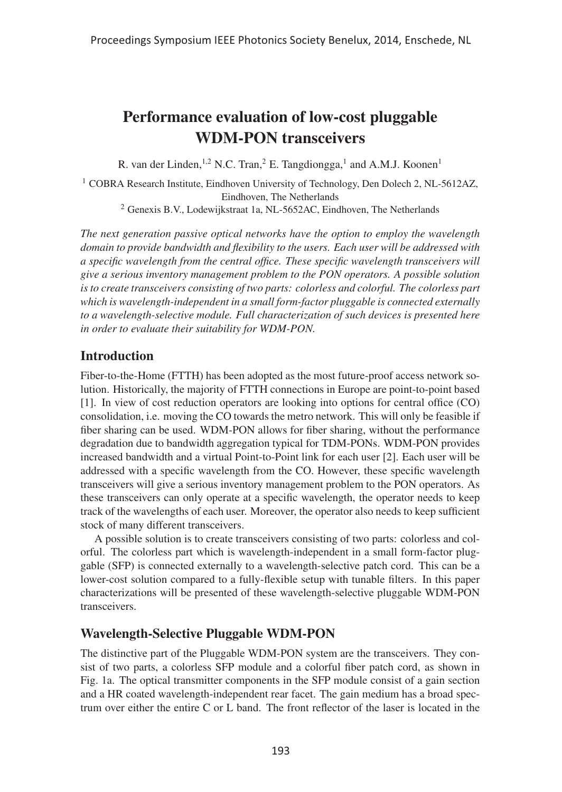# Performance evaluation of low-cost pluggable WDM-PON transceivers

R. van der Linden, <sup>1,2</sup> N.C. Tran, <sup>2</sup> E. Tangdiongga, <sup>1</sup> and A.M.J. Koonen<sup>1</sup>

<sup>1</sup> COBRA Research Institute, Eindhoven University of Technology, Den Dolech 2, NL-5612AZ, Eindhoven, The Netherlands

<sup>2</sup> Genexis B.V., Lodewijkstraat 1a, NL-5652AC, Eindhoven, The Netherlands

*The next generation passive optical networks have the option to employ the wavelength domain to provide bandwidth and flexibility to the users. Each user will be addressed with a specific wavelength from the central office. These specific wavelength transceivers will give a serious inventory management problem to the PON operators. A possible solution is to create transceivers consisting of two parts: colorless and colorful. The colorless part which is wavelength-independent in a small form-factor pluggable is connected externally to a wavelength-selective module. Full characterization of such devices is presented here in order to evaluate their suitability for WDM-PON.*

# **Introduction**

Fiber-to-the-Home (FTTH) has been adopted as the most future-proof access network solution. Historically, the majority of FTTH connections in Europe are point-to-point based [1]. In view of cost reduction operators are looking into options for central office (CO) consolidation, i.e. moving the CO towards the metro network. This will only be feasible if fiber sharing can be used. WDM-PON allows for fiber sharing, without the performance degradation due to bandwidth aggregation typical for TDM-PONs. WDM-PON provides increased bandwidth and a virtual Point-to-Point link for each user [2]. Each user will be addressed with a specific wavelength from the CO. However, these specific wavelength transceivers will give a serious inventory management problem to the PON operators. As these transceivers can only operate at a specific wavelength, the operator needs to keep track of the wavelengths of each user. Moreover, the operator also needs to keep sufficient stock of many different transceivers.

A possible solution is to create transceivers consisting of two parts: colorless and colorful. The colorless part which is wavelength-independent in a small form-factor pluggable (SFP) is connected externally to a wavelength-selective patch cord. This can be a lower-cost solution compared to a fully-flexible setup with tunable filters. In this paper characterizations will be presented of these wavelength-selective pluggable WDM-PON transceivers.

# Wavelength-Selective Pluggable WDM-PON

The distinctive part of the Pluggable WDM-PON system are the transceivers. They consist of two parts, a colorless SFP module and a colorful fiber patch cord, as shown in Fig. 1a. The optical transmitter components in the SFP module consist of a gain section and a HR coated wavelength-independent rear facet. The gain medium has a broad spectrum over either the entire C or L band. The front reflector of the laser is located in the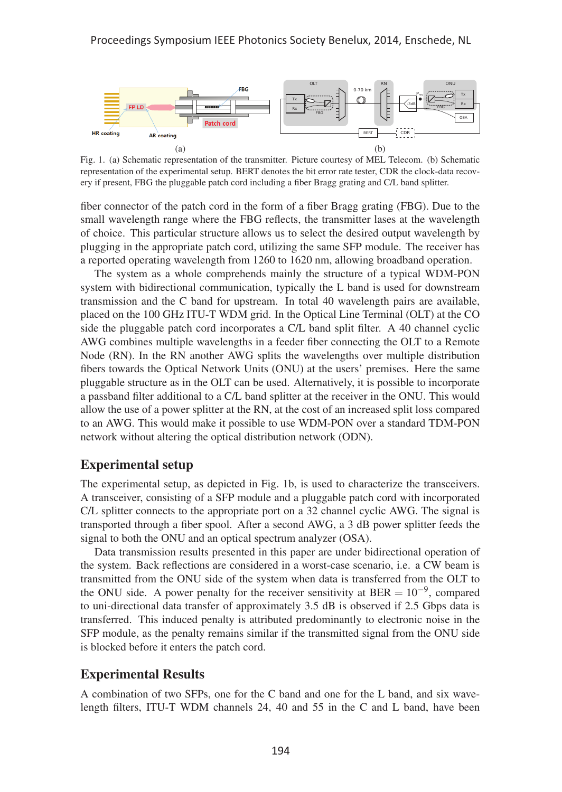

Fig. 1. (a) Schematic representation of the transmitter. Picture courtesy of MEL Telecom. (b) Schematic representation of the experimental setup. BERT denotes the bit error rate tester, CDR the clock-data recovery if present, FBG the pluggable patch cord including a fiber Bragg grating and C/L band splitter.

fiber connector of the patch cord in the form of a fiber Bragg grating (FBG). Due to the small wavelength range where the FBG reflects, the transmitter lases at the wavelength of choice. This particular structure allows us to select the desired output wavelength by plugging in the appropriate patch cord, utilizing the same SFP module. The receiver has a reported operating wavelength from 1260 to 1620 nm, allowing broadband operation.

The system as a whole comprehends mainly the structure of a typical WDM-PON system with bidirectional communication, typically the L band is used for downstream transmission and the C band for upstream. In total 40 wavelength pairs are available, placed on the 100 GHz ITU-T WDM grid. In the Optical Line Terminal (OLT) at the CO side the pluggable patch cord incorporates a C/L band split filter. A 40 channel cyclic AWG combines multiple wavelengths in a feeder fiber connecting the OLT to a Remote Node (RN). In the RN another AWG splits the wavelengths over multiple distribution fibers towards the Optical Network Units (ONU) at the users' premises. Here the same pluggable structure as in the OLT can be used. Alternatively, it is possible to incorporate a passband filter additional to a C/L band splitter at the receiver in the ONU. This would allow the use of a power splitter at the RN, at the cost of an increased split loss compared to an AWG. This would make it possible to use WDM-PON over a standard TDM-PON network without altering the optical distribution network (ODN).

### Experimental setup

The experimental setup, as depicted in Fig. 1b, is used to characterize the transceivers. A transceiver, consisting of a SFP module and a pluggable patch cord with incorporated C/L splitter connects to the appropriate port on a 32 channel cyclic AWG. The signal is transported through a fiber spool. After a second AWG, a 3 dB power splitter feeds the signal to both the ONU and an optical spectrum analyzer (OSA).

Data transmission results presented in this paper are under bidirectional operation of the system. Back reflections are considered in a worst-case scenario, i.e. a CW beam is transmitted from the ONU side of the system when data is transferred from the OLT to the ONU side. A power penalty for the receiver sensitivity at BER =  $10^{-9}$ , compared to uni-directional data transfer of approximately 3.5 dB is observed if 2.5 Gbps data is transferred. This induced penalty is attributed predominantly to electronic noise in the SFP module, as the penalty remains similar if the transmitted signal from the ONU side is blocked before it enters the patch cord.

### Experimental Results

A combination of two SFPs, one for the C band and one for the L band, and six wavelength filters, ITU-T WDM channels 24, 40 and 55 in the C and L band, have been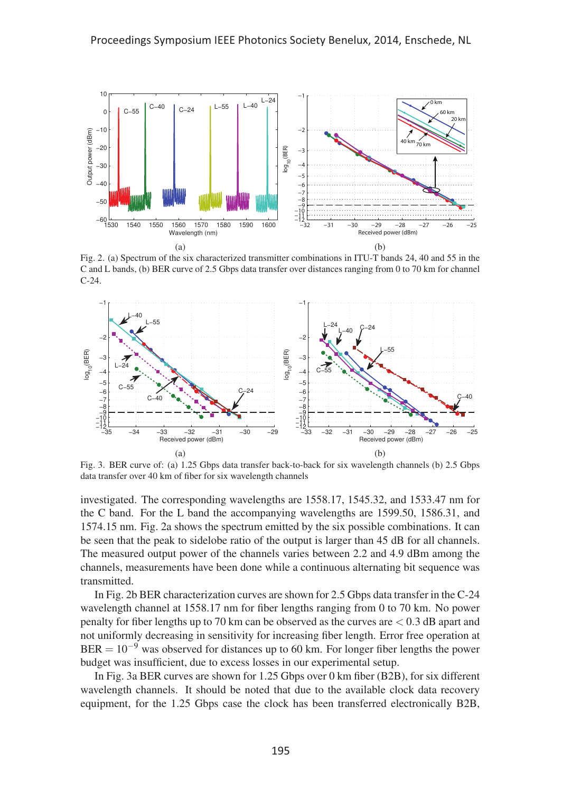

Fig. 2. (a) Spectrum of the six characterized transmitter combinations in ITU-T bands 24, 40 and 55 in the C and L bands, (b) BER curve of 2.5 Gbps data transfer over distances ranging from 0 to 70 km for channel C-24.



Fig. 3. BER curve of: (a) 1.25 Gbps data transfer back-to-back for six wavelength channels (b) 2.5 Gbps data transfer over 40 km of fiber for six wavelength channels

investigated. The corresponding wavelengths are 1558.17, 1545.32, and 1533.47 nm for the C band. For the L band the accompanying wavelengths are 1599.50, 1586.31, and 1574.15 nm. Fig. 2a shows the spectrum emitted by the six possible combinations. It can be seen that the peak to sidelobe ratio of the output is larger than 45 dB for all channels. The measured output power of the channels varies between 2.2 and 4.9 dBm among the channels, measurements have been done while a continuous alternating bit sequence was transmitted.

In Fig. 2b BER characterization curves are shown for 2.5 Gbps data transfer in the C-24 wavelength channel at 1558.17 nm for fiber lengths ranging from 0 to 70 km. No power penalty for fiber lengths up to 70 km can be observed as the curves are < 0.3 dB apart and not uniformly decreasing in sensitivity for increasing fiber length. Error free operation at  $BER = 10^{-9}$  was observed for distances up to 60 km. For longer fiber lengths the power budget was insufficient, due to excess losses in our experimental setup.

In Fig. 3a BER curves are shown for 1.25 Gbps over 0 km fiber (B2B), for six different wavelength channels. It should be noted that due to the available clock data recovery equipment, for the 1.25 Gbps case the clock has been transferred electronically B2B,